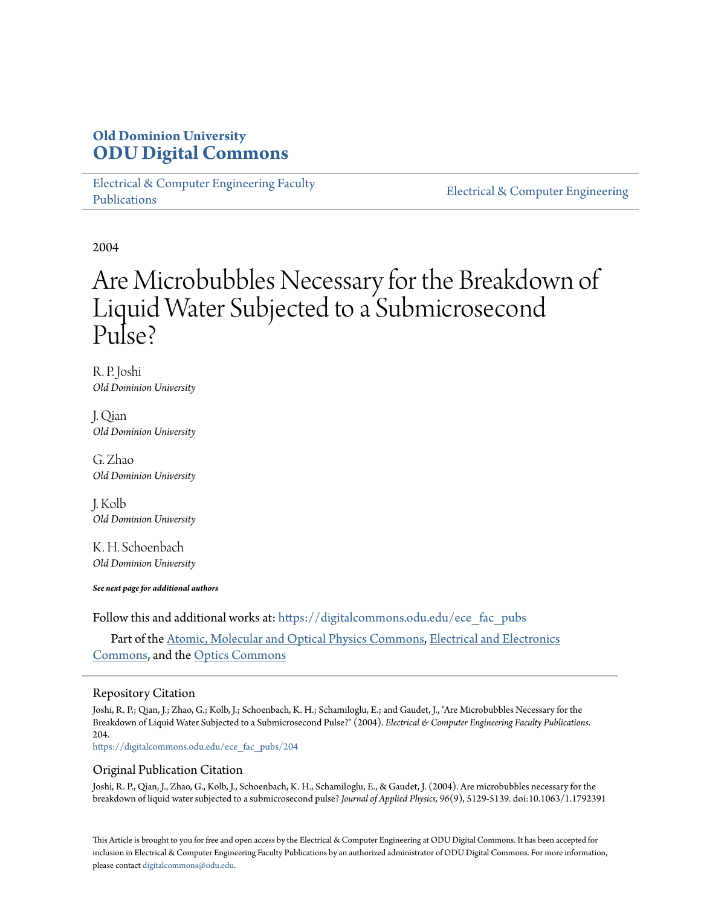# **Old Dominion University [ODU Digital Commons](https://digitalcommons.odu.edu?utm_source=digitalcommons.odu.edu%2Fece_fac_pubs%2F204&utm_medium=PDF&utm_campaign=PDFCoverPages)**

[Electrical & Computer Engineering Faculty](https://digitalcommons.odu.edu/ece_fac_pubs?utm_source=digitalcommons.odu.edu%2Fece_fac_pubs%2F204&utm_medium=PDF&utm_campaign=PDFCoverPages) [Publications](https://digitalcommons.odu.edu/ece_fac_pubs?utm_source=digitalcommons.odu.edu%2Fece_fac_pubs%2F204&utm_medium=PDF&utm_campaign=PDFCoverPages)

[Electrical & Computer Engineering](https://digitalcommons.odu.edu/ece?utm_source=digitalcommons.odu.edu%2Fece_fac_pubs%2F204&utm_medium=PDF&utm_campaign=PDFCoverPages)

2004

# Are Microbubbles Necessary for the Breakdown of Liquid Water Subjected to a Submicrosecond Pulse?

R. P. Joshi *Old Dominion University*

J. Qian *Old Dominion University*

G. Zhao *Old Dominion University*

J. Kolb *Old Dominion University*

K. H. Schoenbach *Old Dominion University*

*See next page for additional authors*

Follow this and additional works at: [https://digitalcommons.odu.edu/ece\\_fac\\_pubs](https://digitalcommons.odu.edu/ece_fac_pubs?utm_source=digitalcommons.odu.edu%2Fece_fac_pubs%2F204&utm_medium=PDF&utm_campaign=PDFCoverPages)

Part of the [Atomic, Molecular and Optical Physics Commons,](http://network.bepress.com/hgg/discipline/195?utm_source=digitalcommons.odu.edu%2Fece_fac_pubs%2F204&utm_medium=PDF&utm_campaign=PDFCoverPages) [Electrical and Electronics](http://network.bepress.com/hgg/discipline/270?utm_source=digitalcommons.odu.edu%2Fece_fac_pubs%2F204&utm_medium=PDF&utm_campaign=PDFCoverPages) [Commons,](http://network.bepress.com/hgg/discipline/270?utm_source=digitalcommons.odu.edu%2Fece_fac_pubs%2F204&utm_medium=PDF&utm_campaign=PDFCoverPages) and the [Optics Commons](http://network.bepress.com/hgg/discipline/204?utm_source=digitalcommons.odu.edu%2Fece_fac_pubs%2F204&utm_medium=PDF&utm_campaign=PDFCoverPages)

## Repository Citation

Joshi, R. P.; Qian, J.; Zhao, G.; Kolb, J.; Schoenbach, K. H.; Schamiloglu, E.; and Gaudet, J., "Are Microbubbles Necessary for the Breakdown of Liquid Water Subjected to a Submicrosecond Pulse?" (2004). *Electrical & Computer Engineering Faculty Publications*. 204.

[https://digitalcommons.odu.edu/ece\\_fac\\_pubs/204](https://digitalcommons.odu.edu/ece_fac_pubs/204?utm_source=digitalcommons.odu.edu%2Fece_fac_pubs%2F204&utm_medium=PDF&utm_campaign=PDFCoverPages)

## Original Publication Citation

Joshi, R. P., Qian, J., Zhao, G., Kolb, J., Schoenbach, K. H., Schamiloglu, E., & Gaudet, J. (2004). Are microbubbles necessary for the breakdown of liquid water subjected to a submicrosecond pulse? *Journal of Applied Physics, 96*(9), 5129-5139. doi:10.1063/1.1792391

This Article is brought to you for free and open access by the Electrical & Computer Engineering at ODU Digital Commons. It has been accepted for inclusion in Electrical & Computer Engineering Faculty Publications by an authorized administrator of ODU Digital Commons. For more information, please contact [digitalcommons@odu.edu](mailto:digitalcommons@odu.edu).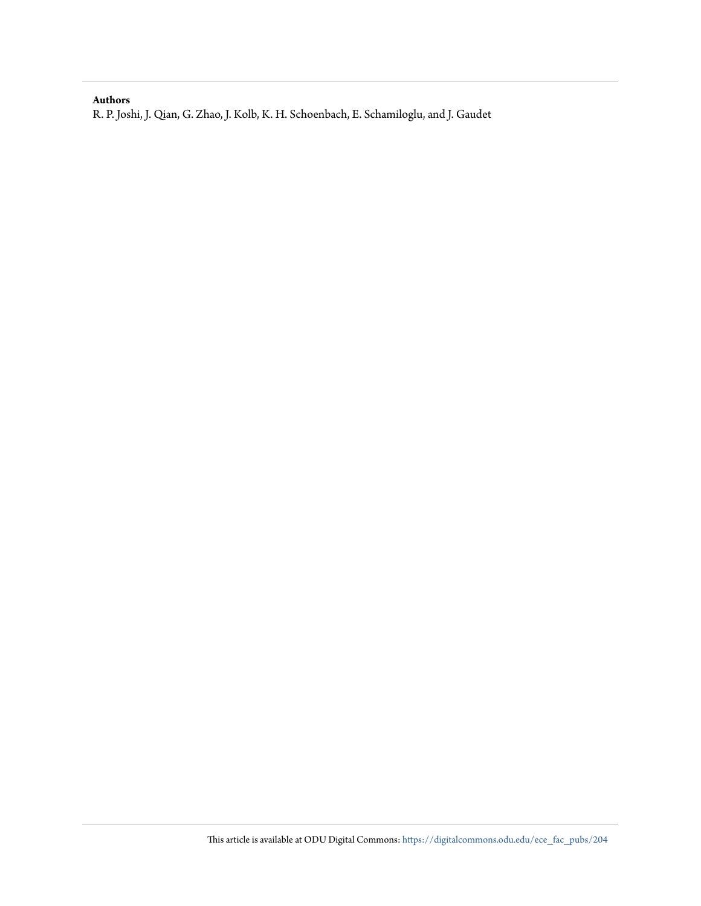### **Authors**

R. P. Joshi, J. Qian, G. Zhao, J. Kolb, K. H. Schoenbach, E. Schamiloglu, and J. Gaudet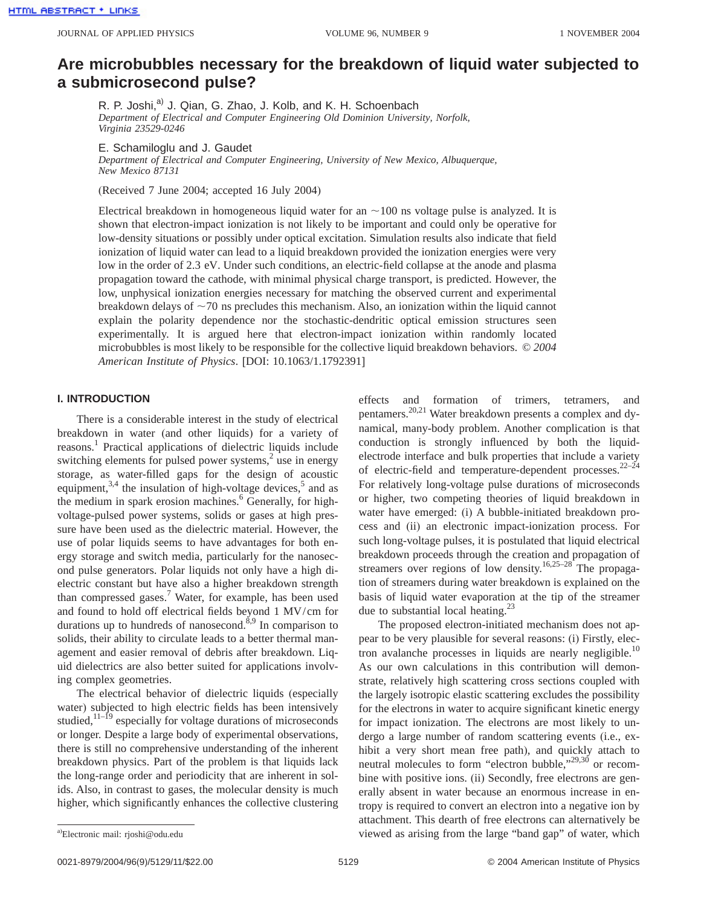# **Are microbubbles necessary for the breakdown of liquid water subjected to a submicrosecond pulse?**

R. P. Joshi,<sup>a)</sup> J. Qian, G. Zhao, J. Kolb, and K. H. Schoenbach *Department of Electrical and Computer Engineering Old Dominion University, Norfolk, Virginia 23529-0246*

E. Schamiloglu and J. Gaudet

*Department of Electrical and Computer Engineering, University of New Mexico, Albuquerque, New Mexico 87131*

(Received 7 June 2004; accepted 16 July 2004)

Electrical breakdown in homogeneous liquid water for an  $\sim$ 100 ns voltage pulse is analyzed. It is shown that electron-impact ionization is not likely to be important and could only be operative for low-density situations or possibly under optical excitation. Simulation results also indicate that field ionization of liquid water can lead to a liquid breakdown provided the ionization energies were very low in the order of 2.3 eV. Under such conditions, an electric-field collapse at the anode and plasma propagation toward the cathode, with minimal physical charge transport, is predicted. However, the low, unphysical ionization energies necessary for matching the observed current and experimental breakdown delays of  $\sim$ 70 ns precludes this mechanism. Also, an ionization within the liquid cannot explain the polarity dependence nor the stochastic-dendritic optical emission structures seen experimentally. It is argued here that electron-impact ionization within randomly located microbubbles is most likely to be responsible for the collective liquid breakdown behaviors. © *2004 American Institute of Physics*. [DOI: 10.1063/1.1792391]

#### **I. INTRODUCTION**

There is a considerable interest in the study of electrical breakdown in water (and other liquids) for a variety of reasons. <sup>1</sup> Practical applications of dielectric liquids include switching elements for pulsed power systems, $2 \text{ use in energy}$ storage, as water-filled gaps for the design of acoustic equipment, $3,4$  the insulation of high-voltage devices, $5$  and as the medium in spark erosion machines.<sup>6</sup> Generally, for highvoltage-pulsed power systems, solids or gases at high pressure have been used as the dielectric material. However, the use of polar liquids seems to have advantages for both energy storage and switch media, particularly for the nanosecond pulse generators. Polar liquids not only have a high dielectric constant but have also a higher breakdown strength than compressed gases.<sup>7</sup> Water, for example, has been used and found to hold off electrical fields beyond 1 MV/cm for durations up to hundreds of nanosecond. $8,9$  In comparison to solids, their ability to circulate leads to a better thermal management and easier removal of debris after breakdown. Liquid dielectrics are also better suited for applications involving complex geometries.

The electrical behavior of dielectric liquids (especially water) subjected to high electric fields has been intensively studied, $11-19$  especially for voltage durations of microseconds or longer. Despite a large body of experimental observations, there is still no comprehensive understanding of the inherent breakdown physics. Part of the problem is that liquids lack the long-range order and periodicity that are inherent in solids. Also, in contrast to gases, the molecular density is much higher, which significantly enhances the collective clustering

effects and formation of trimers, tetramers, and pentamers.20,21 Water breakdown presents a complex and dynamical, many-body problem. Another complication is that conduction is strongly influenced by both the liquidelectrode interface and bulk properties that include a variety of electric-field and temperature-dependent processes. $22-24$ For relatively long-voltage pulse durations of microseconds or higher, two competing theories of liquid breakdown in water have emerged: (i) A bubble-initiated breakdown process and (ii) an electronic impact-ionization process. For such long-voltage pulses, it is postulated that liquid electrical breakdown proceeds through the creation and propagation of streamers over regions of low density.<sup>16,25–28</sup> The propagation of streamers during water breakdown is explained on the basis of liquid water evaporation at the tip of the streamer due to substantial local heating. $^{23}$ 

The proposed electron-initiated mechanism does not appear to be very plausible for several reasons: (i) Firstly, electron avalanche processes in liquids are nearly negligible.<sup>10</sup> As our own calculations in this contribution will demonstrate, relatively high scattering cross sections coupled with the largely isotropic elastic scattering excludes the possibility for the electrons in water to acquire significant kinetic energy for impact ionization. The electrons are most likely to undergo a large number of random scattering events (i.e., exhibit a very short mean free path), and quickly attach to neutral molecules to form "electron bubble,"<sup>29,30</sup> or recombine with positive ions. (ii) Secondly, free electrons are generally absent in water because an enormous increase in entropy is required to convert an electron into a negative ion by attachment. This dearth of free electrons can alternatively be viewed as arising from the large "band gap" of water, which

0021-8979/2004/96(9)/5129/11/\$22.00 5129 5129 5129 C 2004 American Institute of Physics

Electronic mail: rjoshi@odu.edu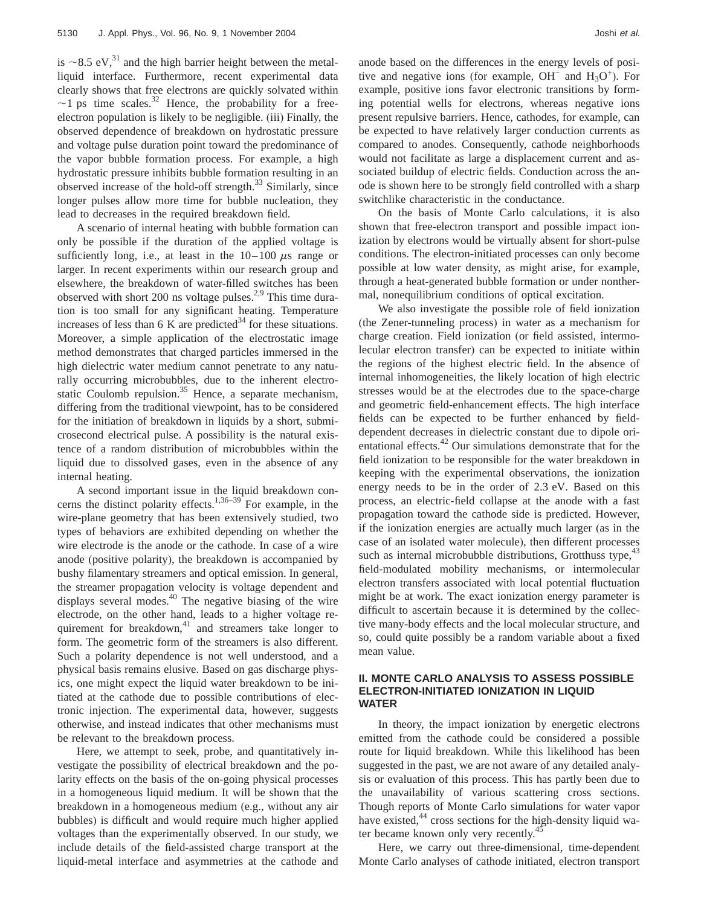is  $\sim$ 8.5 eV,<sup>31</sup> and the high barrier height between the metalliquid interface. Furthermore, recent experimental data clearly shows that free electrons are quickly solvated within  $\sim$ 1 ps time scales.<sup>32</sup> Hence, the probability for a freeelectron population is likely to be negligible. (iii) Finally, the observed dependence of breakdown on hydrostatic pressure and voltage pulse duration point toward the predominance of the vapor bubble formation process. For example, a high hydrostatic pressure inhibits bubble formation resulting in an observed increase of the hold-off strength. $33$  Similarly, since longer pulses allow more time for bubble nucleation, they lead to decreases in the required breakdown field.

A scenario of internal heating with bubble formation can only be possible if the duration of the applied voltage is sufficiently long, i.e., at least in the  $10-100 \mu s$  range or larger. In recent experiments within our research group and elsewhere, the breakdown of water-filled switches has been observed with short 200 ns voltage pulses.2,9 This time duration is too small for any significant heating. Temperature increases of less than 6 K are predicted<sup>34</sup> for these situations. Moreover, a simple application of the electrostatic image method demonstrates that charged particles immersed in the high dielectric water medium cannot penetrate to any naturally occurring microbubbles, due to the inherent electrostatic Coulomb repulsion.<sup>35</sup> Hence, a separate mechanism, differing from the traditional viewpoint, has to be considered for the initiation of breakdown in liquids by a short, submicrosecond electrical pulse. A possibility is the natural existence of a random distribution of microbubbles within the liquid due to dissolved gases, even in the absence of any internal heating.

A second important issue in the liquid breakdown concerns the distinct polarity effects.<sup>1,36–39</sup> For example, in the wire-plane geometry that has been extensively studied, two types of behaviors are exhibited depending on whether the wire electrode is the anode or the cathode. In case of a wire anode (positive polarity), the breakdown is accompanied by bushy filamentary streamers and optical emission. In general, the streamer propagation velocity is voltage dependent and displays several modes.<sup>40</sup> The negative biasing of the wire electrode, on the other hand, leads to a higher voltage requirement for breakdown, $41$  and streamers take longer to form. The geometric form of the streamers is also different. Such a polarity dependence is not well understood, and a physical basis remains elusive. Based on gas discharge physics, one might expect the liquid water breakdown to be initiated at the cathode due to possible contributions of electronic injection. The experimental data, however, suggests otherwise, and instead indicates that other mechanisms must be relevant to the breakdown process.

Here, we attempt to seek, probe, and quantitatively investigate the possibility of electrical breakdown and the polarity effects on the basis of the on-going physical processes in a homogeneous liquid medium. It will be shown that the breakdown in a homogeneous medium (e.g., without any air bubbles) is difficult and would require much higher applied voltages than the experimentally observed. In our study, we include details of the field-assisted charge transport at the liquid-metal interface and asymmetries at the cathode and anode based on the differences in the energy levels of positive and negative ions (for example,  $OH^-$  and  $H_3O^+$ ). For example, positive ions favor electronic transitions by forming potential wells for electrons, whereas negative ions present repulsive barriers. Hence, cathodes, for example, can be expected to have relatively larger conduction currents as compared to anodes. Consequently, cathode neighborhoods would not facilitate as large a displacement current and associated buildup of electric fields. Conduction across the anode is shown here to be strongly field controlled with a sharp switchlike characteristic in the conductance.

On the basis of Monte Carlo calculations, it is also shown that free-electron transport and possible impact ionization by electrons would be virtually absent for short-pulse conditions. The electron-initiated processes can only become possible at low water density, as might arise, for example, through a heat-generated bubble formation or under nonthermal, nonequilibrium conditions of optical excitation.

We also investigate the possible role of field ionization (the Zener-tunneling process) in water as a mechanism for charge creation. Field ionization (or field assisted, intermolecular electron transfer) can be expected to initiate within the regions of the highest electric field. In the absence of internal inhomogeneities, the likely location of high electric stresses would be at the electrodes due to the space-charge and geometric field-enhancement effects. The high interface fields can be expected to be further enhanced by fielddependent decreases in dielectric constant due to dipole orientational effects. $42$  Our simulations demonstrate that for the field ionization to be responsible for the water breakdown in keeping with the experimental observations, the ionization energy needs to be in the order of 2.3 eV. Based on this process, an electric-field collapse at the anode with a fast propagation toward the cathode side is predicted. However, if the ionization energies are actually much larger (as in the case of an isolated water molecule), then different processes such as internal microbubble distributions, Grotthuss type, $4$ , field-modulated mobility mechanisms, or intermolecular electron transfers associated with local potential fluctuation might be at work. The exact ionization energy parameter is difficult to ascertain because it is determined by the collective many-body effects and the local molecular structure, and so, could quite possibly be a random variable about a fixed mean value.

#### **II. MONTE CARLO ANALYSIS TO ASSESS POSSIBLE ELECTRON-INITIATED IONIZATION IN LIQUID WATER**

In theory, the impact ionization by energetic electrons emitted from the cathode could be considered a possible route for liquid breakdown. While this likelihood has been suggested in the past, we are not aware of any detailed analysis or evaluation of this process. This has partly been due to the unavailability of various scattering cross sections. Though reports of Monte Carlo simulations for water vapor have existed,  $44$  cross sections for the high-density liquid water became known only very recently.<sup>45</sup>

Here, we carry out three-dimensional, time-dependent Monte Carlo analyses of cathode initiated, electron transport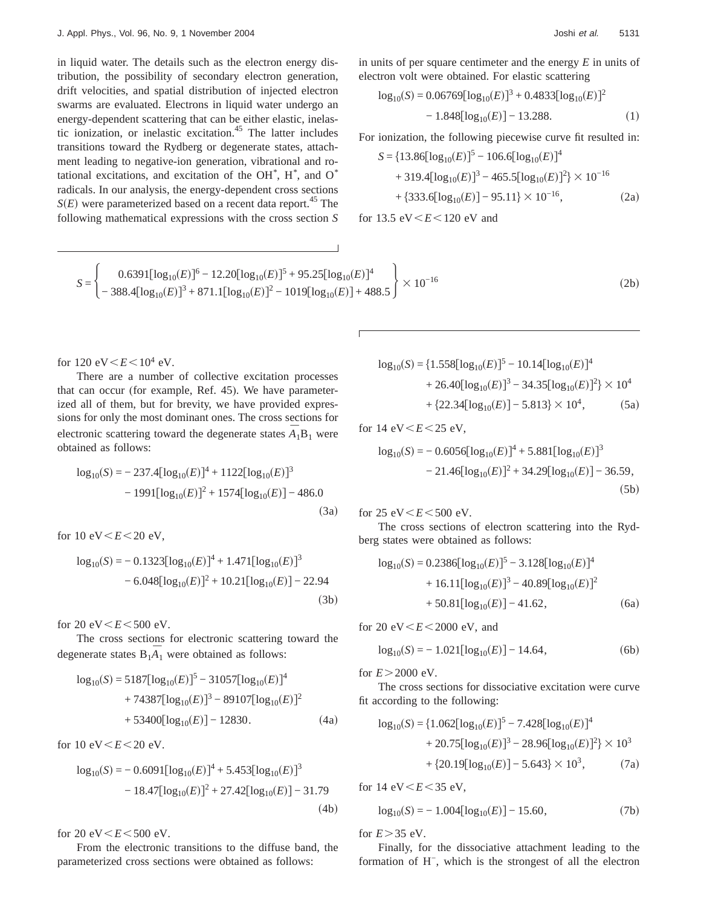in liquid water. The details such as the electron energy distribution, the possibility of secondary electron generation, drift velocities, and spatial distribution of injected electron swarms are evaluated. Electrons in liquid water undergo an energy-dependent scattering that can be either elastic, inelastic ionization, or inelastic excitation.<sup>45</sup> The latter includes transitions toward the Rydberg or degenerate states, attachment leading to negative-ion generation, vibrational and rotational excitations, and excitation of the OH<sup>\*</sup>, H<sup>\*</sup>, and O<sup>\*</sup> radicals. In our analysis, the energy-dependent cross sections  $S(E)$  were parameterized based on a recent data report.<sup>45</sup> The following mathematical expressions with the cross section *S* in units of per square centimeter and the energy *E* in units of electron volt were obtained. For elastic scattering

$$
log_{10}(S) = 0.06769[log_{10}(E)]^{3} + 0.4833[log_{10}(E)]^{2}
$$
  
- 1.848[log<sub>10</sub>(E)] - 13.288. (1)

For ionization, the following piecewise curve fit resulted in:

$$
S = \{13.86[\log_{10}(E)]^5 - 106.6[\log_{10}(E)]^4
$$
  
+ 319.4[log<sub>10</sub>(E)]<sup>3</sup> - 465.5[log<sub>10</sub>(E)]<sup>2</sup>} × 10<sup>-16</sup>  
+ {333.6[log<sub>10</sub>(E)] - 95.11} × 10<sup>-16</sup>, (2a)

for 13.5  $eV < E < 120$  eV and

$$
S = \left\{ \begin{array}{c} 0.6391[\log_{10}(E)]^6 - 12.20[\log_{10}(E)]^5 + 95.25[\log_{10}(E)]^4 \\ - 388.4[\log_{10}(E)]^3 + 871.1[\log_{10}(E)]^2 - 1019[\log_{10}(E)] + 488.5 \end{array} \right\} \times 10^{-16}
$$
(2b)

for 120 eV $\leq E \leq 10^4$  eV.

There are a number of collective excitation processes that can occur (for example, Ref. 45). We have parameterized all of them, but for brevity, we have provided expressions for only the most dominant ones. The cross sections for electronic scattering toward the degenerate states  $\vec{A}_1$ B<sub>1</sub> were obtained as follows:

$$
log_{10}(S) = -237.4[log_{10}(E)]^{4} + 1122[log_{10}(E)]^{3}
$$

$$
-1991[log_{10}(E)]^{2} + 1574[log_{10}(E)] - 486.0
$$
(3a)

for 10  $eV \leq E \leq 20 eV$ ,

$$
log_{10}(S) = -0.1323[log_{10}(E)]^{4} + 1.471[log_{10}(E)]^{3}
$$

$$
-6.048[log_{10}(E)]^{2} + 10.21[log_{10}(E)] - 22.94
$$
(3b)

for 20  $eV \leq E \leq 500$  eV.

The cross sections for electronic scattering toward the degenerate states  $B_1\overline{A_1}$  were obtained as follows:

$$
log_{10}(S) = 5187[log_{10}(E)]^5 - 31057[log_{10}(E)]^4
$$
  
+ 74387[log<sub>10</sub>(E)]<sup>3</sup> - 89107[log<sub>10</sub>(E)]<sup>2</sup>  
+ 53400[log<sub>10</sub>(E)] - 12830. (4a)

for 10  $eV \leq E \leq 20 eV$ .

$$
log_{10}(S) = -0.6091[log_{10}(E)]^{4} + 5.453[log_{10}(E)]^{3}
$$

$$
-18.47[log_{10}(E)]^{2} + 27.42[log_{10}(E)] - 31.79
$$
(4b)

for 20  $eV \leq E \leq 500 eV$ .

From the electronic transitions to the diffuse band, the parameterized cross sections were obtained as follows:

$$
log_{10}(S) = \{1.558[log_{10}(E)]^5 - 10.14[log_{10}(E)]^4
$$
  
+ 26.40[log\_{10}(E)]^3 - 34.35[log\_{10}(E)]^2\} \times 10^4  
+ \{22.34[log\_{10}(E)] - 5.813\} \times 10^4, (5a)

for 14  $eV < E < 25 eV$ ,

$$
log_{10}(S) = -0.6056[log_{10}(E)]^{4} + 5.881[log_{10}(E)]^{3}
$$

$$
-21.46[log_{10}(E)]^{2} + 34.29[log_{10}(E)] - 36.59,
$$
(5b)

for 25  $eV \leq E \leq 500$  eV.

The cross sections of electron scattering into the Rydberg states were obtained as follows:

$$
\log_{10}(S) = 0.2386[\log_{10}(E)]^5 - 3.128[\log_{10}(E)]^4
$$
  
+ 16.11[log<sub>10</sub>(E)]<sup>3</sup> – 40.89[log<sub>10</sub>(E)]<sup>2</sup>  
+ 50.81[log<sub>10</sub>(E)] – 41.62, (6a)

for 20  $eV < E < 2000$  eV, and

$$
\log_{10}(S) = -1.021[\log_{10}(E)] - 14.64,\tag{6b}
$$

for  $E > 2000$  eV.

The cross sections for dissociative excitation were curve fit according to the following:

$$
log_{10}(S) = \{1.062[log_{10}(E)]^5 - 7.428[log_{10}(E)]^4
$$
  
+ 20.75[log\_{10}(E)]^3 - 28.96[log\_{10}(E)]^2\} \times 10^3  
+ \{20.19[log\_{10}(E)] - 5.643\} \times 10^3, (7a)

for 14  $eV < E < 35 eV$ ,

$$
\log_{10}(S) = -1.004[\log_{10}(E)] - 15.60,\tag{7b}
$$

for  $E > 35$  eV.

Finally, for the dissociative attachment leading to the formation of H−, which is the strongest of all the electron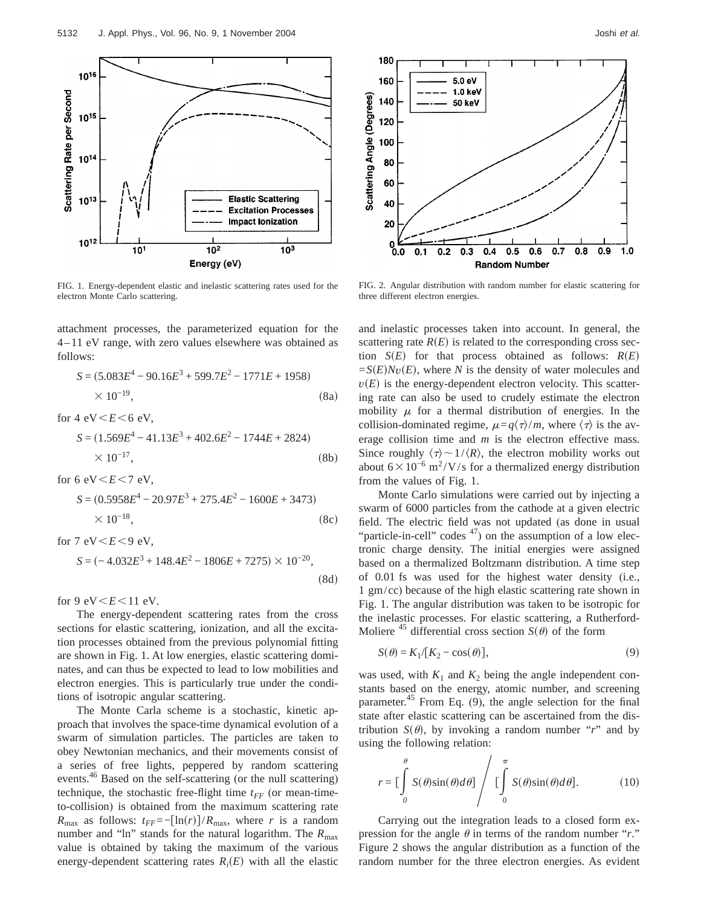

FIG. 1. Energy-dependent elastic and inelastic scattering rates used for the electron Monte Carlo scattering.

attachment processes, the parameterized equation for the 4–11 eV range, with zero values elsewhere was obtained as follows:

$$
S = (5.083E4 - 90.16E3 + 599.7E2 - 1771E + 1958)
$$
  
× 10<sup>-19</sup>, (8a)

for  $4 \text{ eV} \leq E \leq 6 \text{ eV}$ .

for 6 eV $\leq E \leq 7$  eV,

$$
S = (1.569E4 - 41.13E3 + 402.6E2 - 1744E + 2824)
$$
  
× 10<sup>-17</sup>, (8b)

$$
S = (0.5958E4 - 20.97E3 + 275.4E2 - 1600E + 3473)
$$
  
× 10<sup>-18</sup>, (8c)

for 7 eV $\leq E \leq 9$  eV,

$$
S = (-4.032E3 + 148.4E2 - 1806E + 7275) \times 10-20,
$$
\n(8d)

for 9 eV $\leq E \leq 11$  eV.

The energy-dependent scattering rates from the cross sections for elastic scattering, ionization, and all the excitation processes obtained from the previous polynomial fitting are shown in Fig. 1. At low energies, elastic scattering dominates, and can thus be expected to lead to low mobilities and electron energies. This is particularly true under the conditions of isotropic angular scattering.

The Monte Carla scheme is a stochastic, kinetic approach that involves the space-time dynamical evolution of a swarm of simulation particles. The particles are taken to obey Newtonian mechanics, and their movements consist of a series of free lights, peppered by random scattering events.<sup>46</sup> Based on the self-scattering (or the null scattering) technique, the stochastic free-flight time  $t_{FF}$  (or mean-timeto-collision) is obtained from the maximum scattering rate  $R_{\text{max}}$  as follows:  $t_{FF} = -[\ln(r)]/R_{\text{max}}$ , where *r* is a random number and "ln" stands for the natural logarithm. The  $R_{\text{max}}$ value is obtained by taking the maximum of the various energy-dependent scattering rates  $R_i(E)$  with all the elastic





FIG. 2. Angular distribution with random number for elastic scattering for three different electron energies.

and inelastic processes taken into account. In general, the scattering rate  $R(E)$  is related to the corresponding cross section  $S(E)$  for that process obtained as follows:  $R(E)$  $=S(E)Nv(E)$ , where *N* is the density of water molecules and  $v(E)$  is the energy-dependent electron velocity. This scattering rate can also be used to crudely estimate the electron mobility  $\mu$  for a thermal distribution of energies. In the collision-dominated regime,  $\mu=q\langle\tau\rangle/m$ , where  $\langle\tau\rangle$  is the average collision time and *m* is the electron effective mass. Since roughly  $\langle \tau \rangle \sim 1/\langle R \rangle$ , the electron mobility works out about  $6\times10^{-6}$  m<sup>2</sup>/V/s for a thermalized energy distribution from the values of Fig. 1.

Monte Carlo simulations were carried out by injecting a swarm of 6000 particles from the cathode at a given electric field. The electric field was not updated (as done in usual "particle-in-cell" codes  $47$ ) on the assumption of a low electronic charge density. The initial energies were assigned based on a thermalized Boltzmann distribution. A time step of 0.01 fs was used for the highest water density (i.e., 1 gm/cc) because of the high elastic scattering rate shown in Fig. 1. The angular distribution was taken to be isotropic for the inelastic processes. For elastic scattering, a Rutherford-Moliere <sup>45</sup> differential cross section  $S(\theta)$  of the form

$$
S(\theta) = K_1/[K_2 - \cos(\theta)],\tag{9}
$$

was used, with  $K_1$  and  $K_2$  being the angle independent constants based on the energy, atomic number, and screening parameter.<sup>45</sup> From Eq.  $(9)$ , the angle selection for the final state after elastic scattering can be ascertained from the distribution  $S(\theta)$ , by invoking a random number "*r*" and by using the following relation:

$$
r = \left[\int_{0}^{\theta} S(\theta)\sin(\theta)d\theta\right] / \left[\int_{0}^{\pi} S(\theta)\sin(\theta)d\theta\right].
$$
 (10)

Carrying out the integration leads to a closed form expression for the angle  $\theta$  in terms of the random number "*r*." Figure 2 shows the angular distribution as a function of the random number for the three electron energies. As evident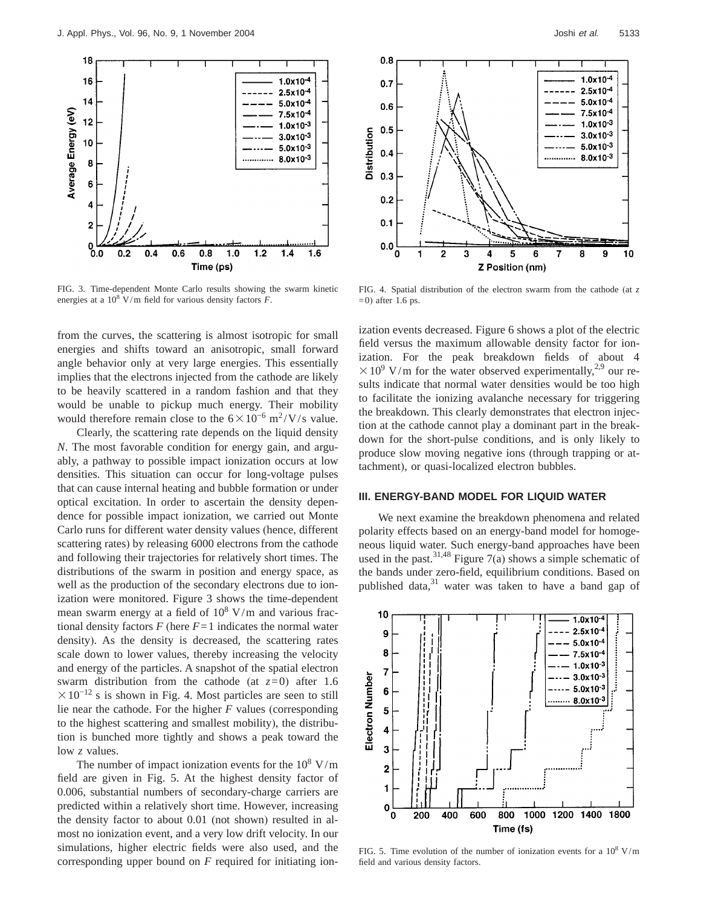

FIG. 3. Time-dependent Monte Carlo results showing the swarm kinetic energies at a 10<sup>8</sup> V/m field for various density factors *F*.

from the curves, the scattering is almost isotropic for small energies and shifts toward an anisotropic, small forward angle behavior only at very large energies. This essentially implies that the electrons injected from the cathode are likely to be heavily scattered in a random fashion and that they would be unable to pickup much energy. Their mobility would therefore remain close to the  $6\times10^{-6}$  m<sup>2</sup>/V/s value.

Clearly, the scattering rate depends on the liquid density *N*. The most favorable condition for energy gain, and arguably, a pathway to possible impact ionization occurs at low densities. This situation can occur for long-voltage pulses that can cause internal heating and bubble formation or under optical excitation. In order to ascertain the density dependence for possible impact ionization, we carried out Monte Carlo runs for different water density values (hence, different scattering rates) by releasing 6000 electrons from the cathode and following their trajectories for relatively short times. The distributions of the swarm in position and energy space, as well as the production of the secondary electrons due to ionization were monitored. Figure 3 shows the time-dependent mean swarm energy at a field of  $10^8$  V/m and various fractional density factors  $F$  (here  $F=1$  indicates the normal water density). As the density is decreased, the scattering rates scale down to lower values, thereby increasing the velocity and energy of the particles. A snapshot of the spatial electron swarm distribution from the cathode (at  $z=0$ ) after 1.6  $\times$ 10<sup>−12</sup> s is shown in Fig. 4. Most particles are seen to still lie near the cathode. For the higher *F* values (corresponding to the highest scattering and smallest mobility), the distribution is bunched more tightly and shows a peak toward the low *z* values.

The number of impact ionization events for the  $10^8$  V/m field are given in Fig. 5. At the highest density factor of 0.006, substantial numbers of secondary-charge carriers are predicted within a relatively short time. However, increasing the density factor to about 0.01 (not shown) resulted in almost no ionization event, and a very low drift velocity. In our simulations, higher electric fields were also used, and the corresponding upper bound on *F* required for initiating ion-



FIG. 4. Spatial distribution of the electron swarm from the cathode (at *z*  $=0$ ) after 1.6 ps.

ization events decreased. Figure 6 shows a plot of the electric field versus the maximum allowable density factor for ionization. For the peak breakdown fields of about 4  $\times$  10<sup>9</sup> V/m for the water observed experimentally,<sup>2,9</sup> our results indicate that normal water densities would be too high to facilitate the ionizing avalanche necessary for triggering the breakdown. This clearly demonstrates that electron injection at the cathode cannot play a dominant part in the breakdown for the short-pulse conditions, and is only likely to produce slow moving negative ions (through trapping or attachment), or quasi-localized electron bubbles.

#### **III. ENERGY-BAND MODEL FOR LIQUID WATER**

We next examine the breakdown phenomena and related polarity effects based on an energy-band model for homogeneous liquid water. Such energy-band approaches have been used in the past.<sup>31,48</sup> Figure 7(a) shows a simple schematic of the bands under zero-field, equilibrium conditions. Based on published data,<sup>31</sup> water was taken to have a band gap of



FIG. 5. Time evolution of the number of ionization events for a  $10^8$  V/m field and various density factors.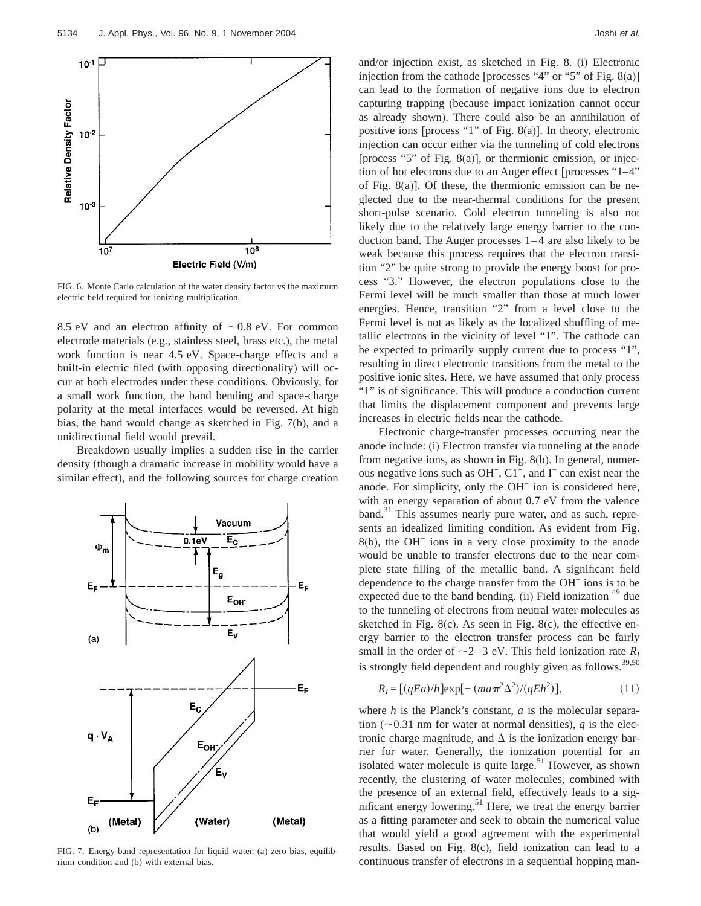

FIG. 6. Monte Carlo calculation of the water density factor vs the maximum electric field required for ionizing multiplication.

8.5 eV and an electron affinity of  $\sim 0.8$  eV. For common electrode materials (e.g., stainless steel, brass etc.), the metal work function is near 4.5 eV. Space-charge effects and a built-in electric filed (with opposing directionality) will occur at both electrodes under these conditions. Obviously, for a small work function, the band bending and space-charge polarity at the metal interfaces would be reversed. At high bias, the band would change as sketched in Fig. 7(b), and a unidirectional field would prevail.

Breakdown usually implies a sudden rise in the carrier density (though a dramatic increase in mobility would have a similar effect), and the following sources for charge creation



FIG. 7. Energy-band representation for liquid water. (a) zero bias, equilibrium condition and (b) with external bias.

and/or injection exist, as sketched in Fig. 8. (i) Electronic injection from the cathode [processes "4" or "5" of Fig. 8(a)] can lead to the formation of negative ions due to electron capturing trapping (because impact ionization cannot occur as already shown). There could also be an annihilation of positive ions [process "1" of Fig. 8(a)]. In theory, electronic injection can occur either via the tunneling of cold electrons [process "5" of Fig. 8(a)], or thermionic emission, or injection of hot electrons due to an Auger effect [processes "1–4" of Fig. 8(a)]. Of these, the thermionic emission can be neglected due to the near-thermal conditions for the present short-pulse scenario. Cold electron tunneling is also not likely due to the relatively large energy barrier to the conduction band. The Auger processes 1–4 are also likely to be weak because this process requires that the electron transition "2" be quite strong to provide the energy boost for process "3." However, the electron populations close to the Fermi level will be much smaller than those at much lower energies. Hence, transition "2" from a level close to the Fermi level is not as likely as the localized shuffling of metallic electrons in the vicinity of level "1". The cathode can be expected to primarily supply current due to process "1", resulting in direct electronic transitions from the metal to the positive ionic sites. Here, we have assumed that only process "1" is of significance. This will produce a conduction current that limits the displacement component and prevents large increases in electric fields near the cathode.

Electronic charge-transfer processes occurring near the anode include: (i) Electron transfer via tunneling at the anode from negative ions, as shown in Fig. 8(b). In general, numerous negative ions such as OH−, C1−, and I− can exist near the anode. For simplicity, only the OH− ion is considered here, with an energy separation of about 0.7 eV from the valence band.<sup>31</sup> This assumes nearly pure water, and as such, represents an idealized limiting condition. As evident from Fig. 8(b), the OH− ions in a very close proximity to the anode would be unable to transfer electrons due to the near complete state filling of the metallic band. A significant field dependence to the charge transfer from the OH− ions is to be expected due to the band bending. (ii) Field ionization <sup>49</sup> due to the tunneling of electrons from neutral water molecules as sketched in Fig. 8(c). As seen in Fig. 8(c), the effective energy barrier to the electron transfer process can be fairly small in the order of  $\sim$ 2–3 eV. This field ionization rate  $R_1$ is strongly field dependent and roughly given as follows.<sup>39,50</sup>

$$
R_I = [(qEa)/h] \exp[-(ma\pi^2 \Delta^2)/(qEh^2)],\tag{11}
$$

where *h* is the Planck's constant, *a* is the molecular separation ( $\sim$ 0.31 nm for water at normal densities), *q* is the electronic charge magnitude, and  $\Delta$  is the ionization energy barrier for water. Generally, the ionization potential for an isolated water molecule is quite large.<sup>51</sup> However, as shown recently, the clustering of water molecules, combined with the presence of an external field, effectively leads to a significant energy lowering.<sup>51</sup> Here, we treat the energy barrier as a fitting parameter and seek to obtain the numerical value that would yield a good agreement with the experimental results. Based on Fig. 8(c), field ionization can lead to a continuous transfer of electrons in a sequential hopping man-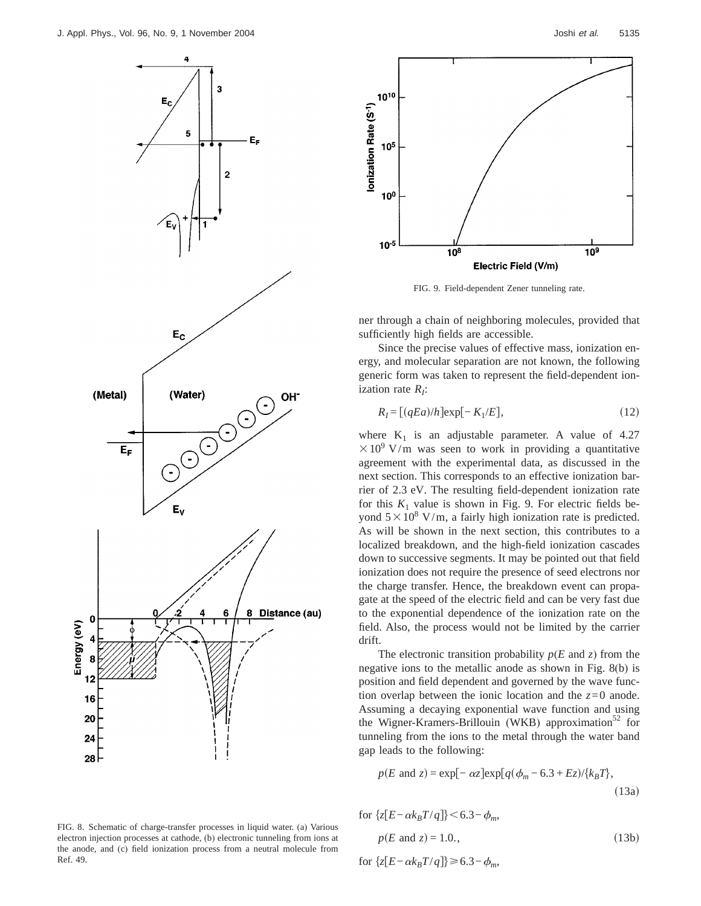



FIG. 9. Field-dependent Zener tunneling rate.

ner through a chain of neighboring molecules, provided that sufficiently high fields are accessible.

Since the precise values of effective mass, ionization energy, and molecular separation are not known, the following generic form was taken to represent the field-dependent ionization rate  $R_i$ :

$$
R_I = [(qEa)/h] \exp[-K_1/E], \qquad (12)
$$

where  $K_1$  is an adjustable parameter. A value of 4.27  $\times$  10<sup>9</sup> V/m was seen to work in providing a quantitative agreement with the experimental data, as discussed in the next section. This corresponds to an effective ionization barrier of 2.3 eV. The resulting field-dependent ionization rate for this  $K_1$  value is shown in Fig. 9. For electric fields beyond  $5 \times 10^8$  V/m, a fairly high ionization rate is predicted. As will be shown in the next section, this contributes to a localized breakdown, and the high-field ionization cascades down to successive segments. It may be pointed out that field ionization does not require the presence of seed electrons nor the charge transfer. Hence, the breakdown event can propagate at the speed of the electric field and can be very fast due to the exponential dependence of the ionization rate on the field. Also, the process would not be limited by the carrier drift.

The electronic transition probability  $p(E \text{ and } z)$  from the negative ions to the metallic anode as shown in Fig. 8(b) is position and field dependent and governed by the wave function overlap between the ionic location and the  $z=0$  anode. Assuming a decaying exponential wave function and using the Wigner-Kramers-Brillouin (WKB) approximation<sup>52</sup> for tunneling from the ions to the metal through the water band gap leads to the following:

$$
p(E \text{ and } z) = \exp[-\alpha z] \exp[q(\phi_m - 6.3 + Ez)/\{k_B T\},\tag{13a}
$$

FIG. 8. Schematic of charge-transfer processes in liquid water. (a) Various electron injection processes at cathode, (b) electronic tunneling from ions at the anode, and (c) field ionization process from a neutral molecule from Ref. 49.

for 
$$
\{z[E - \alpha k_B T / q]\} < 6.3 - \phi_m
$$
,  
\n $p(E \text{ and } z) = 1.0.$ , (13b)

for 
$$
\{z[E - \alpha k_B T/q]\} \ge 6.3 - \phi_m
$$
,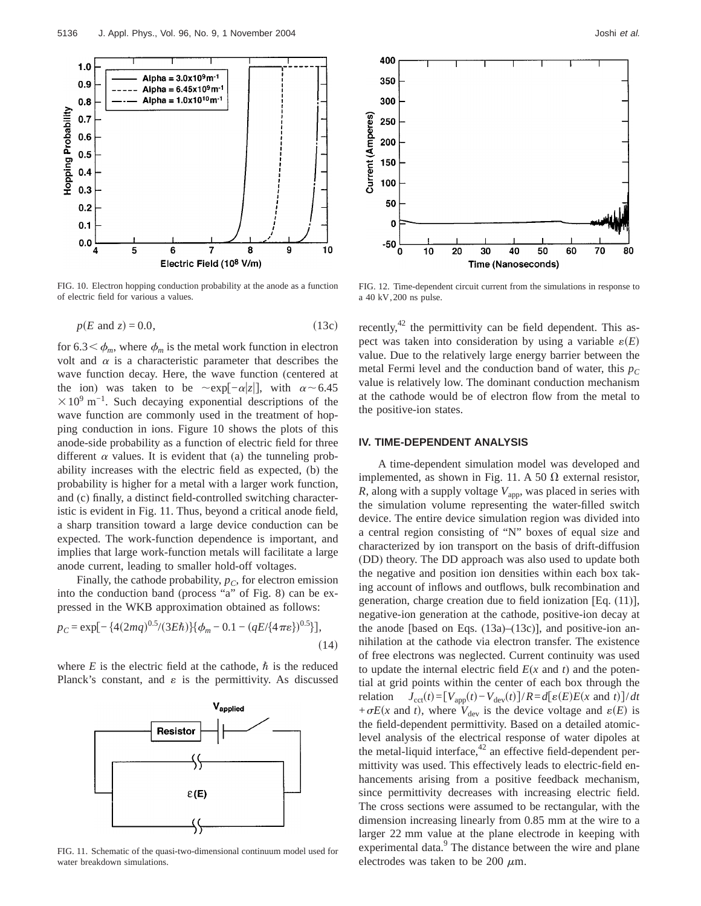

FIG. 10. Electron hopping conduction probability at the anode as a function of electric field for various a values.

$$
p(E \text{ and } z) = 0.0,\tag{13c}
$$

for  $6.3<\phi_m$ , where  $\phi_m$  is the metal work function in electron volt and  $\alpha$  is a characteristic parameter that describes the wave function decay. Here, the wave function (centered at the ion) was taken to be  $\sim \exp[-\alpha |z|]$ , with  $\alpha \sim 6.45$  $\times$ 10<sup>9</sup> m<sup>-1</sup>. Such decaying exponential descriptions of the wave function are commonly used in the treatment of hopping conduction in ions. Figure 10 shows the plots of this anode-side probability as a function of electric field for three different  $\alpha$  values. It is evident that (a) the tunneling probability increases with the electric field as expected, (b) the probability is higher for a metal with a larger work function, and (c) finally, a distinct field-controlled switching characteristic is evident in Fig. 11. Thus, beyond a critical anode field, a sharp transition toward a large device conduction can be expected. The work-function dependence is important, and implies that large work-function metals will facilitate a large anode current, leading to smaller hold-off voltages.

Finally, the cathode probability,  $p<sub>C</sub>$ , for electron emission into the conduction band (process "a" of Fig. 8) can be expressed in the WKB approximation obtained as follows:

$$
p_C = \exp[-\{4(2mq)^{0.5}/(3E\hbar)\}\{\phi_m - 0.1 - (qE/\{4\pi\varepsilon\})^{0.5}\}],
$$
\n(14)

where  $E$  is the electric field at the cathode,  $\hbar$  is the reduced Planck's constant, and  $\varepsilon$  is the permittivity. As discussed



FIG. 11. Schematic of the quasi-two-dimensional continuum model used for water breakdown simulations.



FIG. 12. Time-dependent circuit current from the simulations in response to a 40 kV,200 ns pulse.

recently, $42$  the permittivity can be field dependent. This aspect was taken into consideration by using a variable  $\varepsilon(E)$ value. Due to the relatively large energy barrier between the metal Fermi level and the conduction band of water, this  $p_C$ value is relatively low. The dominant conduction mechanism at the cathode would be of electron flow from the metal to the positive-ion states.

#### **IV. TIME-DEPENDENT ANALYSIS**

A time-dependent simulation model was developed and implemented, as shown in Fig. 11. A 50  $\Omega$  external resistor, *R*, along with a supply voltage  $V_{\text{app}}$ , was placed in series with the simulation volume representing the water-filled switch device. The entire device simulation region was divided into a central region consisting of "N" boxes of equal size and characterized by ion transport on the basis of drift-diffusion (DD) theory. The DD approach was also used to update both the negative and position ion densities within each box taking account of inflows and outflows, bulk recombination and generation, charge creation due to field ionization [Eq. (11)], negative-ion generation at the cathode, positive-ion decay at the anode [based on Eqs. (13a)–(13c)], and positive-ion annihilation at the cathode via electron transfer. The existence of free electrons was neglected. Current continuity was used to update the internal electric field *E*(*x* and *t*) and the potential at grid points within the center of each box through the relation  $J_{\text{cct}}(t) = [V_{\text{app}}(t) - V_{\text{dev}}(t)]/R = d[\varepsilon(E)E(x \text{ and } t)]/dt$ + $\sigma E(x$  and *t*), where  $V_{\text{dev}}$  is the device voltage and  $\varepsilon(E)$  is the field-dependent permittivity. Based on a detailed atomiclevel analysis of the electrical response of water dipoles at the metal-liquid interface, $42$  an effective field-dependent permittivity was used. This effectively leads to electric-field enhancements arising from a positive feedback mechanism, since permittivity decreases with increasing electric field. The cross sections were assumed to be rectangular, with the dimension increasing linearly from 0.85 mm at the wire to a larger 22 mm value at the plane electrode in keeping with experimental data.<sup>9</sup> The distance between the wire and plane electrodes was taken to be 200  $\mu$ m.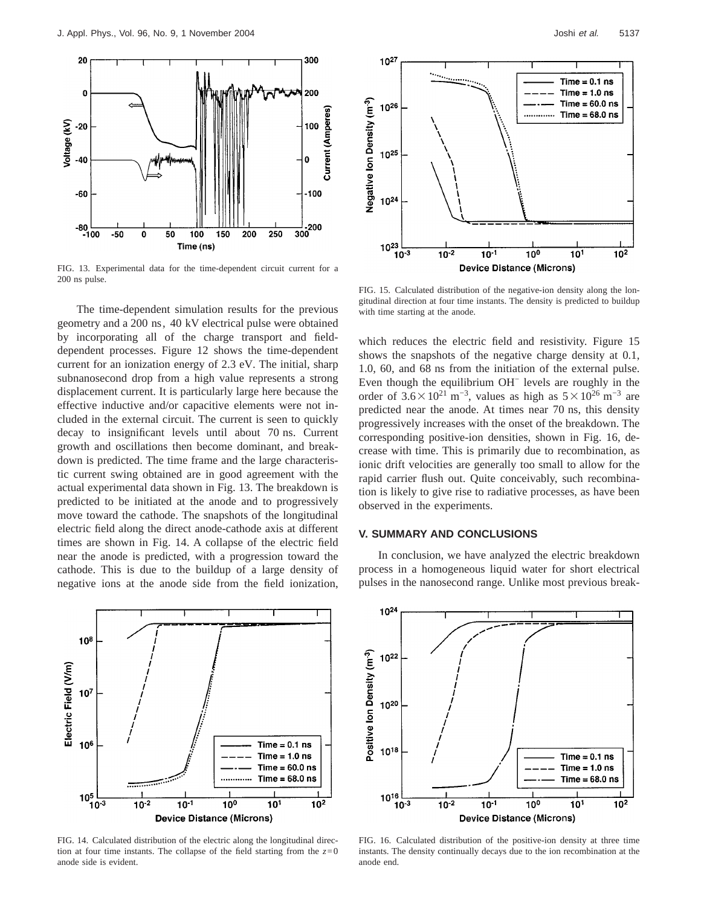

FIG. 13. Experimental data for the time-dependent circuit current for a 200 ns pulse.

The time-dependent simulation results for the previous geometry and a 200 ns, 40 kV electrical pulse were obtained by incorporating all of the charge transport and fielddependent processes. Figure 12 shows the time-dependent current for an ionization energy of 2.3 eV. The initial, sharp subnanosecond drop from a high value represents a strong displacement current. It is particularly large here because the effective inductive and/or capacitive elements were not included in the external circuit. The current is seen to quickly decay to insignificant levels until about 70 ns. Current growth and oscillations then become dominant, and breakdown is predicted. The time frame and the large characteristic current swing obtained are in good agreement with the actual experimental data shown in Fig. 13. The breakdown is predicted to be initiated at the anode and to progressively move toward the cathode. The snapshots of the longitudinal electric field along the direct anode-cathode axis at different times are shown in Fig. 14. A collapse of the electric field near the anode is predicted, with a progression toward the cathode. This is due to the buildup of a large density of negative ions at the anode side from the field ionization,



FIG. 14. Calculated distribution of the electric along the longitudinal direction at four time instants. The collapse of the field starting from the  $z=0$ anode side is evident.



FIG. 15. Calculated distribution of the negative-ion density along the longitudinal direction at four time instants. The density is predicted to buildup with time starting at the anode.

which reduces the electric field and resistivity. Figure 15 shows the snapshots of the negative charge density at 0.1, 1.0, 60, and 68 ns from the initiation of the external pulse. Even though the equilibrium OH− levels are roughly in the order of  $3.6 \times 10^{21}$  m<sup>-3</sup>, values as high as  $5 \times 10^{26}$  m<sup>-3</sup> are predicted near the anode. At times near 70 ns, this density progressively increases with the onset of the breakdown. The corresponding positive-ion densities, shown in Fig. 16, decrease with time. This is primarily due to recombination, as ionic drift velocities are generally too small to allow for the rapid carrier flush out. Quite conceivably, such recombination is likely to give rise to radiative processes, as have been observed in the experiments.

#### **V. SUMMARY AND CONCLUSIONS**

In conclusion, we have analyzed the electric breakdown process in a homogeneous liquid water for short electrical pulses in the nanosecond range. Unlike most previous break-



FIG. 16. Calculated distribution of the positive-ion density at three time instants. The density continually decays due to the ion recombination at the anode end.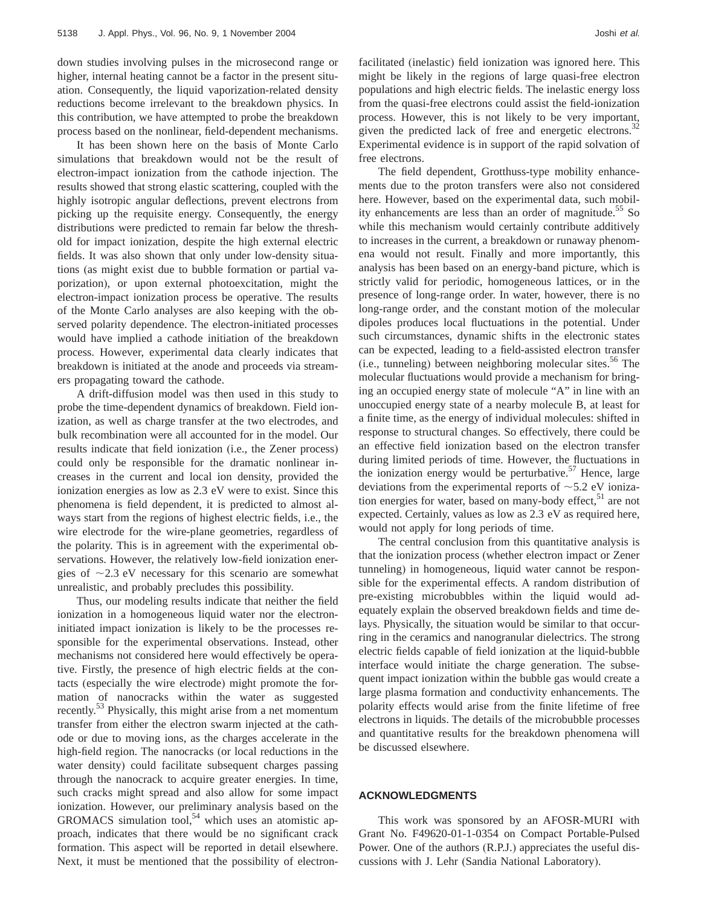down studies involving pulses in the microsecond range or higher, internal heating cannot be a factor in the present situation. Consequently, the liquid vaporization-related density reductions become irrelevant to the breakdown physics. In this contribution, we have attempted to probe the breakdown process based on the nonlinear, field-dependent mechanisms.

It has been shown here on the basis of Monte Carlo simulations that breakdown would not be the result of electron-impact ionization from the cathode injection. The results showed that strong elastic scattering, coupled with the highly isotropic angular deflections, prevent electrons from picking up the requisite energy. Consequently, the energy distributions were predicted to remain far below the threshold for impact ionization, despite the high external electric fields. It was also shown that only under low-density situations (as might exist due to bubble formation or partial vaporization), or upon external photoexcitation, might the electron-impact ionization process be operative. The results of the Monte Carlo analyses are also keeping with the observed polarity dependence. The electron-initiated processes would have implied a cathode initiation of the breakdown process. However, experimental data clearly indicates that breakdown is initiated at the anode and proceeds via streamers propagating toward the cathode.

A drift-diffusion model was then used in this study to probe the time-dependent dynamics of breakdown. Field ionization, as well as charge transfer at the two electrodes, and bulk recombination were all accounted for in the model. Our results indicate that field ionization (i.e., the Zener process) could only be responsible for the dramatic nonlinear increases in the current and local ion density, provided the ionization energies as low as 2.3 eV were to exist. Since this phenomena is field dependent, it is predicted to almost always start from the regions of highest electric fields, i.e., the wire electrode for the wire-plane geometries, regardless of the polarity. This is in agreement with the experimental observations. However, the relatively low-field ionization energies of  $\sim$ 2.3 eV necessary for this scenario are somewhat unrealistic, and probably precludes this possibility.

Thus, our modeling results indicate that neither the field ionization in a homogeneous liquid water nor the electroninitiated impact ionization is likely to be the processes responsible for the experimental observations. Instead, other mechanisms not considered here would effectively be operative. Firstly, the presence of high electric fields at the contacts (especially the wire electrode) might promote the formation of nanocracks within the water as suggested recently.<sup>53</sup> Physically, this might arise from a net momentum transfer from either the electron swarm injected at the cathode or due to moving ions, as the charges accelerate in the high-field region. The nanocracks (or local reductions in the water density) could facilitate subsequent charges passing through the nanocrack to acquire greater energies. In time, such cracks might spread and also allow for some impact ionization. However, our preliminary analysis based on the GROMACS simulation tool,<sup>54</sup> which uses an atomistic approach, indicates that there would be no significant crack formation. This aspect will be reported in detail elsewhere. Next, it must be mentioned that the possibility of electronfacilitated (inelastic) field ionization was ignored here. This might be likely in the regions of large quasi-free electron populations and high electric fields. The inelastic energy loss from the quasi-free electrons could assist the field-ionization process. However, this is not likely to be very important, given the predicted lack of free and energetic electrons.<sup>32</sup> Experimental evidence is in support of the rapid solvation of free electrons.

The field dependent, Grotthuss-type mobility enhancements due to the proton transfers were also not considered here. However, based on the experimental data, such mobility enhancements are less than an order of magnitude.<sup>55</sup> So while this mechanism would certainly contribute additively to increases in the current, a breakdown or runaway phenomena would not result. Finally and more importantly, this analysis has been based on an energy-band picture, which is strictly valid for periodic, homogeneous lattices, or in the presence of long-range order. In water, however, there is no long-range order, and the constant motion of the molecular dipoles produces local fluctuations in the potential. Under such circumstances, dynamic shifts in the electronic states can be expected, leading to a field-assisted electron transfer  $(i.e., tunneling)$  between neighboring molecular sites.<sup>56</sup> The molecular fluctuations would provide a mechanism for bringing an occupied energy state of molecule "A" in line with an unoccupied energy state of a nearby molecule B, at least for a finite time, as the energy of individual molecules: shifted in response to structural changes. So effectively, there could be an effective field ionization based on the electron transfer during limited periods of time. However, the fluctuations in the ionization energy would be perturbative.<sup>57</sup> Hence, large deviations from the experimental reports of  $\sim$  5.2 eV ionization energies for water, based on many-body effect, $51$  are not expected. Certainly, values as low as 2.3 eV as required here, would not apply for long periods of time.

The central conclusion from this quantitative analysis is that the ionization process (whether electron impact or Zener tunneling) in homogeneous, liquid water cannot be responsible for the experimental effects. A random distribution of pre-existing microbubbles within the liquid would adequately explain the observed breakdown fields and time delays. Physically, the situation would be similar to that occurring in the ceramics and nanogranular dielectrics. The strong electric fields capable of field ionization at the liquid-bubble interface would initiate the charge generation. The subsequent impact ionization within the bubble gas would create a large plasma formation and conductivity enhancements. The polarity effects would arise from the finite lifetime of free electrons in liquids. The details of the microbubble processes and quantitative results for the breakdown phenomena will be discussed elsewhere.

#### **ACKNOWLEDGMENTS**

This work was sponsored by an AFOSR-MURI with Grant No. F49620-01-1-0354 on Compact Portable-Pulsed Power. One of the authors (R.P.J.) appreciates the useful discussions with J. Lehr (Sandia National Laboratory).